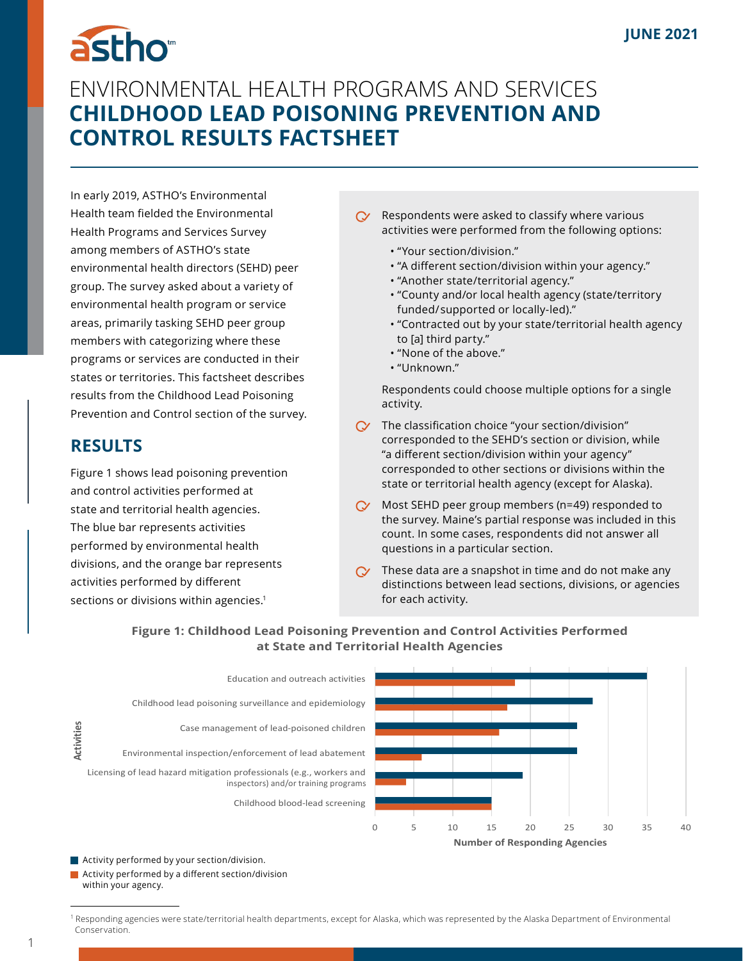## astho<sup>®</sup> ENVIRONMENTAL HEALTH PROGRAMS AND SERVICES **CHILDHOOD LEAD POISONING PREVENTION AND CONTROL RESULTS FACTSHEET**

In early 2019, ASTHO's Environmental Health team fielded the Environmental Health Programs and Services Survey among members of ASTHO's state environmental health directors (SEHD) peer group. The survey asked about a variety of environmental health program or service areas, primarily tasking SEHD peer group members with categorizing where these programs or services are conducted in their states or territories. This factsheet describes results from the Childhood Lead Poisoning Prevention and Control section of the survey.

## **RESULTS**

Figure 1 shows lead poisoning prevention and control activities performed at state and territorial health agencies. The blue bar represents activities performed by environmental health divisions, and the orange bar represents activities performed by different sections or divisions within agencies.<sup>1</sup>

- Respondents were asked to classify where various  $\infty$ activities were performed from the following options:
	- "Your section/division."
	- "A different section/division within your agency."
	- "Another state/territorial agency."
	- "County and/or local health agency (state/territory  funded/ supported or locally-led)."
	- "Contracted out by your state/territorial health agency  to [a] third party."
	- "None of the above."
	- "Unknown."

Respondents could choose multiple options for a single activity.

- $\mathbb C$  The classification choice "your section/division" corresponded to the SEHD's section or division, while "a different section/division within your agency" corresponded to other sections or divisions within the state or territorial health agency (except for Alaska).
- $\infty$ Most SEHD peer group members (n=49) responded to the survey. Maine's partial response was included in this count. In some cases, respondents did not answer all questions in a particular section.
- $\alpha$  These data are a snapshot in time and do not make any distinctions between lead sections, divisions, or agencies for each activity.



**Figure 1: Childhood Lead Poisoning Prevention and Control Activities Performed at State and Territorial Health Agencies**

Activity performed by your section/division.

Activity performed by a different section/division with a state of the section of  $\alpha$ within your agency.

<sup>&</sup>lt;sup>1</sup> Responding agencies were state/territorial health departments, except for Alaska, which was represented by the Alaska Department of Environmental Conservation.